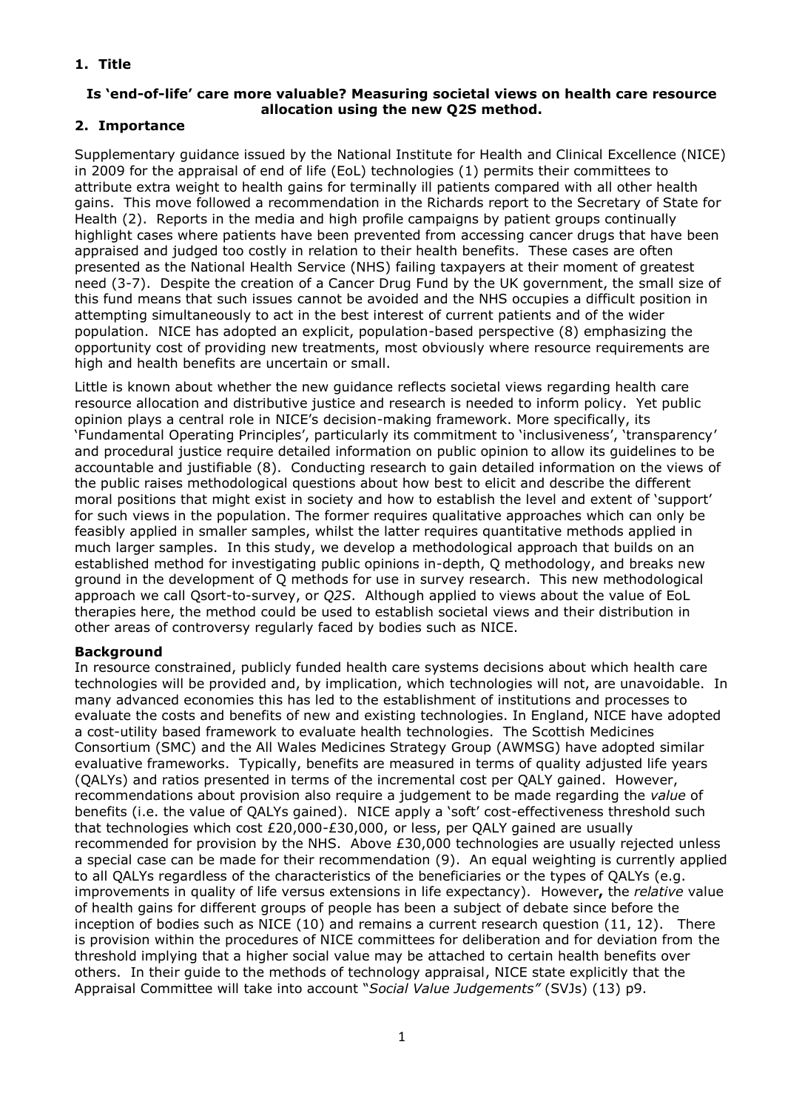# **1. Title**

#### **Is 'end-of-life' care more valuable? Measuring societal views on health care resource allocation using the new Q2S method.**

## **2. Importance**

Supplementary guidance issued by the National Institute for Health and Clinical Excellence (NICE) in 2009 for the appraisal of end of life (EoL) technologies (1) permits their committees to attribute extra weight to health gains for terminally ill patients compared with all other health gains. This move followed a recommendation in the Richards report to the Secretary of State for Health (2). Reports in the media and high profile campaigns by patient groups continually highlight cases where patients have been prevented from accessing cancer drugs that have been appraised and judged too costly in relation to their health benefits. These cases are often presented as the National Health Service (NHS) failing taxpayers at their moment of greatest need (3-7). Despite the creation of a Cancer Drug Fund by the UK government, the small size of this fund means that such issues cannot be avoided and the NHS occupies a difficult position in attempting simultaneously to act in the best interest of current patients and of the wider population. NICE has adopted an explicit, population-based perspective (8) emphasizing the opportunity cost of providing new treatments, most obviously where resource requirements are high and health benefits are uncertain or small.

Little is known about whether the new guidance reflects societal views regarding health care resource allocation and distributive justice and research is needed to inform policy. Yet public opinion plays a central role in NICE"s decision-making framework. More specifically, its "Fundamental Operating Principles", particularly its commitment to "inclusiveness", "transparency" and procedural justice require detailed information on public opinion to allow its guidelines to be accountable and justifiable (8). Conducting research to gain detailed information on the views of the public raises methodological questions about how best to elicit and describe the different moral positions that might exist in society and how to establish the level and extent of "support" for such views in the population. The former requires qualitative approaches which can only be feasibly applied in smaller samples, whilst the latter requires quantitative methods applied in much larger samples. In this study, we develop a methodological approach that builds on an established method for investigating public opinions in-depth, Q methodology, and breaks new ground in the development of Q methods for use in survey research. This new methodological approach we call Qsort-to-survey, or *Q2S*. Although applied to views about the value of EoL therapies here, the method could be used to establish societal views and their distribution in other areas of controversy regularly faced by bodies such as NICE.

## **Background**

In resource constrained, publicly funded health care systems decisions about which health care technologies will be provided and, by implication, which technologies will not, are unavoidable. In many advanced economies this has led to the establishment of institutions and processes to evaluate the costs and benefits of new and existing technologies. In England, NICE have adopted a cost-utility based framework to evaluate health technologies. The Scottish Medicines Consortium (SMC) and the All Wales Medicines Strategy Group (AWMSG) have adopted similar evaluative frameworks. Typically, benefits are measured in terms of quality adjusted life years (QALYs) and ratios presented in terms of the incremental cost per QALY gained. However, recommendations about provision also require a judgement to be made regarding the *value* of benefits (i.e. the value of QALYs gained). NICE apply a "soft" cost-effectiveness threshold such that technologies which cost £20,000-£30,000, or less, per QALY gained are usually recommended for provision by the NHS. Above £30,000 technologies are usually rejected unless a special case can be made for their recommendation (9). An equal weighting is currently applied to all QALYs regardless of the characteristics of the beneficiaries or the types of QALYs (e.g. improvements in quality of life versus extensions in life expectancy). However**,** the *relative* value of health gains for different groups of people has been a subject of debate since before the inception of bodies such as NICE (10) and remains a current research question (11, 12). There is provision within the procedures of NICE committees for deliberation and for deviation from the threshold implying that a higher social value may be attached to certain health benefits over others. In their guide to the methods of technology appraisal, NICE state explicitly that the Appraisal Committee will take into account "*Social Value Judgements"* (SVJs) (13) p9.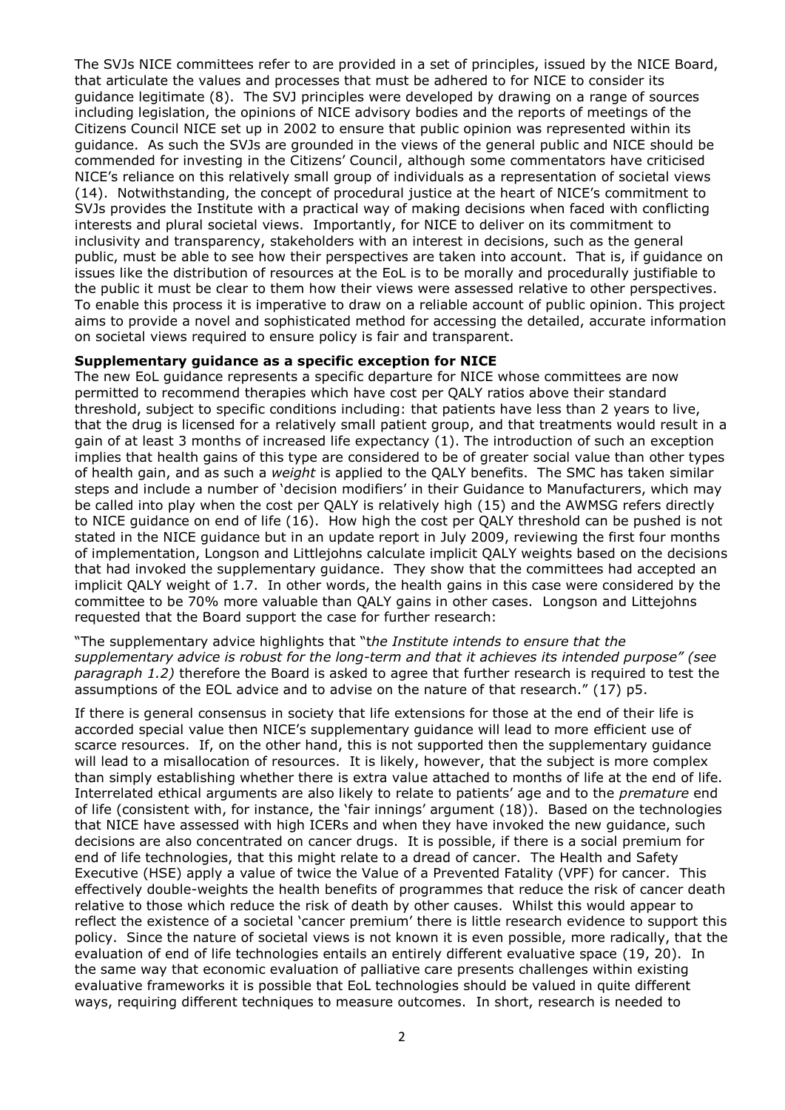The SVJs NICE committees refer to are provided in a set of principles, issued by the NICE Board, that articulate the values and processes that must be adhered to for NICE to consider its guidance legitimate (8). The SVJ principles were developed by drawing on a range of sources including legislation, the opinions of NICE advisory bodies and the reports of meetings of the Citizens Council NICE set up in 2002 to ensure that public opinion was represented within its guidance. As such the SVJs are grounded in the views of the general public and NICE should be commended for investing in the Citizens" Council, although some commentators have criticised NICE"s reliance on this relatively small group of individuals as a representation of societal views (14). Notwithstanding, the concept of procedural justice at the heart of NICE"s commitment to SVJs provides the Institute with a practical way of making decisions when faced with conflicting interests and plural societal views. Importantly, for NICE to deliver on its commitment to inclusivity and transparency, stakeholders with an interest in decisions, such as the general public, must be able to see how their perspectives are taken into account. That is, if guidance on issues like the distribution of resources at the EoL is to be morally and procedurally justifiable to the public it must be clear to them how their views were assessed relative to other perspectives. To enable this process it is imperative to draw on a reliable account of public opinion. This project aims to provide a novel and sophisticated method for accessing the detailed, accurate information on societal views required to ensure policy is fair and transparent.

#### **Supplementary guidance as a specific exception for NICE**

The new EoL guidance represents a specific departure for NICE whose committees are now permitted to recommend therapies which have cost per QALY ratios above their standard threshold, subject to specific conditions including: that patients have less than 2 years to live, that the drug is licensed for a relatively small patient group, and that treatments would result in a gain of at least 3 months of increased life expectancy (1). The introduction of such an exception implies that health gains of this type are considered to be of greater social value than other types of health gain, and as such a *weight* is applied to the QALY benefits. The SMC has taken similar steps and include a number of 'decision modifiers' in their Guidance to Manufacturers, which may be called into play when the cost per QALY is relatively high (15) and the AWMSG refers directly to NICE guidance on end of life (16). How high the cost per QALY threshold can be pushed is not stated in the NICE guidance but in an update report in July 2009, reviewing the first four months of implementation, Longson and Littlejohns calculate implicit QALY weights based on the decisions that had invoked the supplementary guidance. They show that the committees had accepted an implicit QALY weight of 1.7. In other words, the health gains in this case were considered by the committee to be 70% more valuable than QALY gains in other cases. Longson and Littejohns requested that the Board support the case for further research:

"The supplementary advice highlights that "t*he Institute intends to ensure that the supplementary advice is robust for the long-term and that it achieves its intended purpose" (see paragraph 1.2)* therefore the Board is asked to agree that further research is required to test the assumptions of the EOL advice and to advise on the nature of that research." (17) p5.

If there is general consensus in society that life extensions for those at the end of their life is accorded special value then NICE's supplementary quidance will lead to more efficient use of scarce resources. If, on the other hand, this is not supported then the supplementary guidance will lead to a misallocation of resources. It is likely, however, that the subject is more complex than simply establishing whether there is extra value attached to months of life at the end of life. Interrelated ethical arguments are also likely to relate to patients" age and to the *premature* end of life (consistent with, for instance, the "fair innings" argument (18)). Based on the technologies that NICE have assessed with high ICERs and when they have invoked the new guidance, such decisions are also concentrated on cancer drugs. It is possible, if there is a social premium for end of life technologies, that this might relate to a dread of cancer. The Health and Safety Executive (HSE) apply a value of twice the Value of a Prevented Fatality (VPF) for cancer. This effectively double-weights the health benefits of programmes that reduce the risk of cancer death relative to those which reduce the risk of death by other causes. Whilst this would appear to reflect the existence of a societal 'cancer premium' there is little research evidence to support this policy. Since the nature of societal views is not known it is even possible, more radically, that the evaluation of end of life technologies entails an entirely different evaluative space (19, 20). In the same way that economic evaluation of palliative care presents challenges within existing evaluative frameworks it is possible that EoL technologies should be valued in quite different ways, requiring different techniques to measure outcomes. In short, research is needed to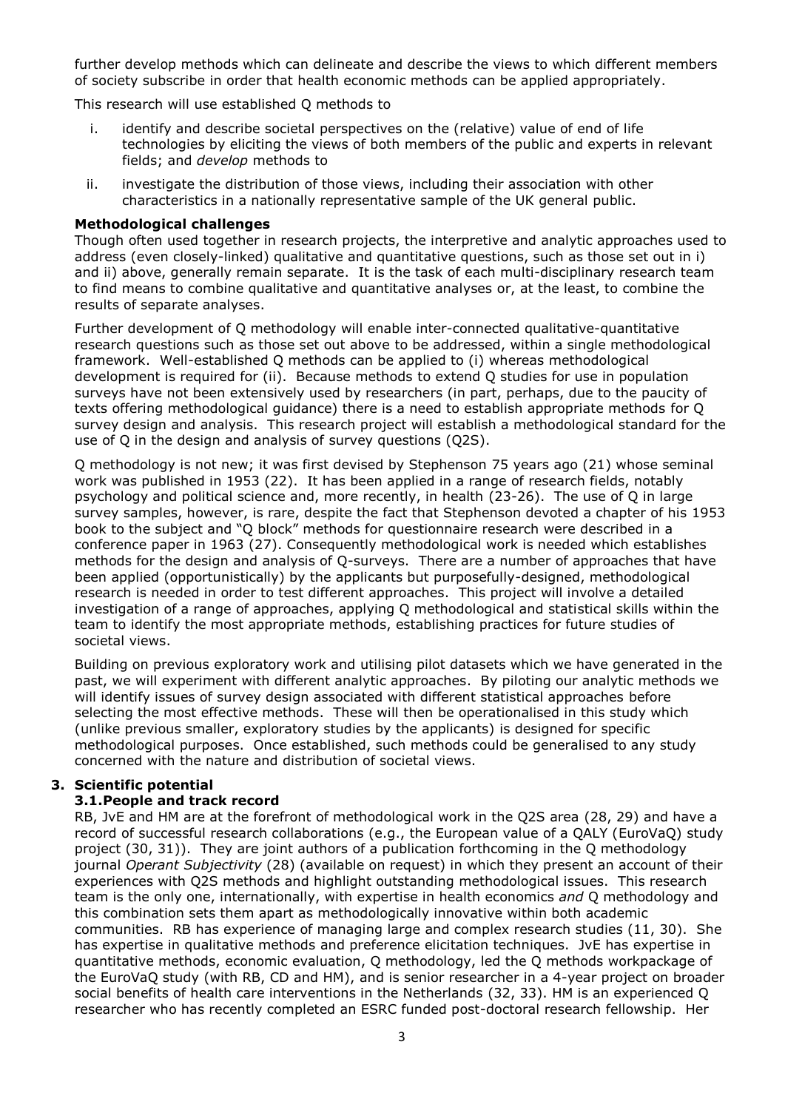further develop methods which can delineate and describe the views to which different members of society subscribe in order that health economic methods can be applied appropriately.

This research will use established Q methods to

- i. identify and describe societal perspectives on the (relative) value of end of life technologies by eliciting the views of both members of the public and experts in relevant fields; and *develop* methods to
- ii. investigate the distribution of those views, including their association with other characteristics in a nationally representative sample of the UK general public.

### **Methodological challenges**

Though often used together in research projects, the interpretive and analytic approaches used to address (even closely-linked) qualitative and quantitative questions, such as those set out in i) and ii) above, generally remain separate. It is the task of each multi-disciplinary research team to find means to combine qualitative and quantitative analyses or, at the least, to combine the results of separate analyses.

Further development of Q methodology will enable inter-connected qualitative-quantitative research questions such as those set out above to be addressed, within a single methodological framework. Well-established Q methods can be applied to (i) whereas methodological development is required for (ii). Because methods to extend Q studies for use in population surveys have not been extensively used by researchers (in part, perhaps, due to the paucity of texts offering methodological guidance) there is a need to establish appropriate methods for Q survey design and analysis. This research project will establish a methodological standard for the use of Q in the design and analysis of survey questions (Q2S).

Q methodology is not new; it was first devised by Stephenson 75 years ago (21) whose seminal work was published in 1953 (22). It has been applied in a range of research fields, notably psychology and political science and, more recently, in health (23-26). The use of Q in large survey samples, however, is rare, despite the fact that Stephenson devoted a chapter of his 1953 book to the subject and "Q block" methods for questionnaire research were described in a conference paper in 1963 (27). Consequently methodological work is needed which establishes methods for the design and analysis of Q-surveys. There are a number of approaches that have been applied (opportunistically) by the applicants but purposefully-designed, methodological research is needed in order to test different approaches. This project will involve a detailed investigation of a range of approaches, applying Q methodological and statistical skills within the team to identify the most appropriate methods, establishing practices for future studies of societal views.

Building on previous exploratory work and utilising pilot datasets which we have generated in the past, we will experiment with different analytic approaches. By piloting our analytic methods we will identify issues of survey design associated with different statistical approaches before selecting the most effective methods. These will then be operationalised in this study which (unlike previous smaller, exploratory studies by the applicants) is designed for specific methodological purposes. Once established, such methods could be generalised to any study concerned with the nature and distribution of societal views.

## **3. Scientific potential**

### **3.1.People and track record**

RB, JvE and HM are at the forefront of methodological work in the Q2S area (28, 29) and have a record of successful research collaborations (e.g., the European value of a QALY (EuroVaQ) study project (30, 31)). They are joint authors of a publication forthcoming in the Q methodology journal *Operant Subjectivity* (28) (available on request) in which they present an account of their experiences with Q2S methods and highlight outstanding methodological issues. This research team is the only one, internationally, with expertise in health economics *and* Q methodology and this combination sets them apart as methodologically innovative within both academic communities. RB has experience of managing large and complex research studies (11, 30). She has expertise in qualitative methods and preference elicitation techniques. JvE has expertise in quantitative methods, economic evaluation, Q methodology, led the Q methods workpackage of the EuroVaQ study (with RB, CD and HM), and is senior researcher in a 4-year project on broader social benefits of health care interventions in the Netherlands (32, 33). HM is an experienced Q researcher who has recently completed an ESRC funded post-doctoral research fellowship. Her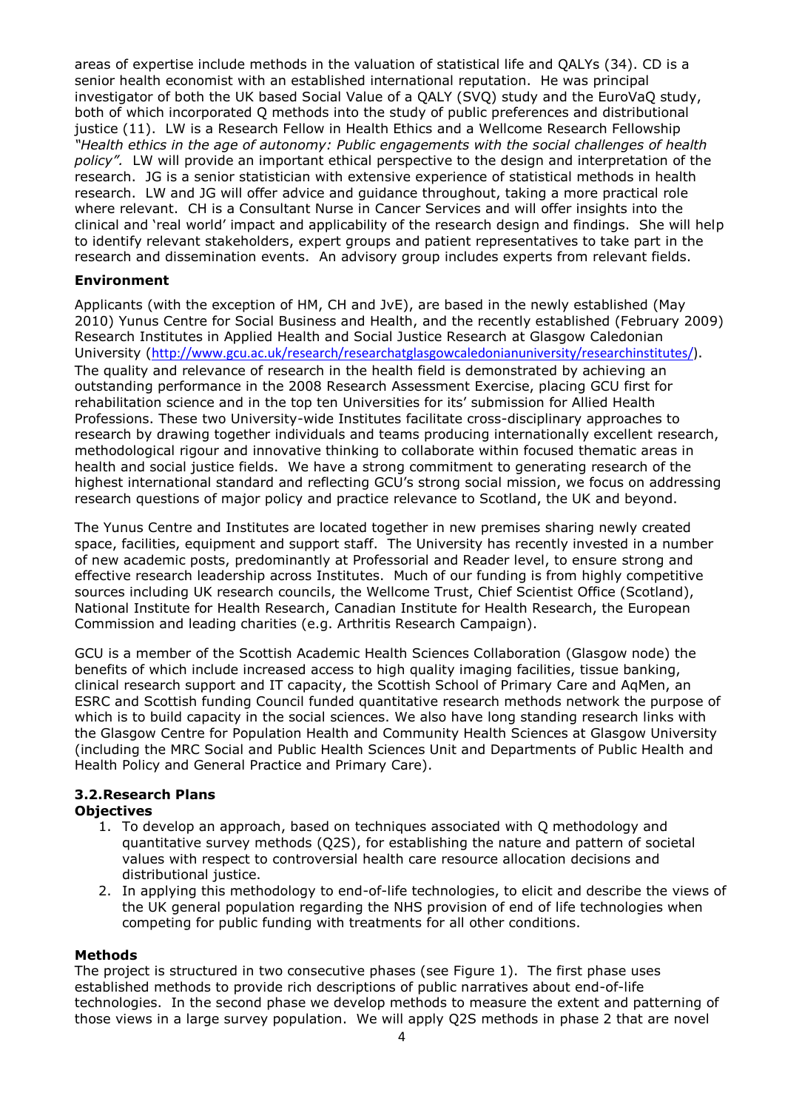areas of expertise include methods in the valuation of statistical life and QALYs (34). CD is a senior health economist with an established international reputation. He was principal investigator of both the UK based Social Value of a QALY (SVQ) study and the EuroVaQ study, both of which incorporated Q methods into the study of public preferences and distributional justice (11). LW is a Research Fellow in Health Ethics and a Wellcome Research Fellowship *"Health ethics in the age of autonomy: Public engagements with the social challenges of health policy".* LW will provide an important ethical perspective to the design and interpretation of the research. JG is a senior statistician with extensive experience of statistical methods in health research. LW and JG will offer advice and guidance throughout, taking a more practical role where relevant. CH is a Consultant Nurse in Cancer Services and will offer insights into the clinical and "real world" impact and applicability of the research design and findings. She will help to identify relevant stakeholders, expert groups and patient representatives to take part in the research and dissemination events. An advisory group includes experts from relevant fields.

### **Environment**

Applicants (with the exception of HM, CH and JvE), are based in the newly established (May 2010) Yunus Centre for Social Business and Health, and the recently established (February 2009) Research Institutes in Applied Health and Social Justice Research at Glasgow Caledonian University ([http://www.gcu.ac.uk/research/researchatglasgowcaledonianuniversity/researchinstitutes/\)](http://www.gcu.ac.uk/research/researchatglasgowcaledonianuniversity/researchinstitutes/). The quality and relevance of research in the health field is demonstrated by achieving an outstanding performance in the 2008 Research Assessment Exercise, placing GCU first for rehabilitation science and in the top ten Universities for its" submission for Allied Health Professions. These two University-wide Institutes facilitate cross-disciplinary approaches to research by drawing together individuals and teams producing internationally excellent research, methodological rigour and innovative thinking to collaborate within focused thematic areas in health and social justice fields. We have a strong commitment to generating research of the highest international standard and reflecting GCU"s strong social mission, we focus on addressing research questions of major policy and practice relevance to Scotland, the UK and beyond.

The Yunus Centre and Institutes are located together in new premises sharing newly created space, facilities, equipment and support staff. The University has recently invested in a number of new academic posts, predominantly at Professorial and Reader level, to ensure strong and effective research leadership across Institutes. Much of our funding is from highly competitive sources including UK research councils, the Wellcome Trust, Chief Scientist Office (Scotland), National Institute for Health Research, Canadian Institute for Health Research, the European Commission and leading charities (e.g. Arthritis Research Campaign).

GCU is a member of the Scottish Academic Health Sciences Collaboration (Glasgow node) the benefits of which include increased access to high quality imaging facilities, tissue banking, clinical research support and IT capacity, the Scottish School of Primary Care and AqMen, an ESRC and Scottish funding Council funded quantitative research methods network the purpose of which is to build capacity in the social sciences. We also have long standing research links with the Glasgow Centre for Population Health and Community Health Sciences at Glasgow University (including the MRC Social and Public Health Sciences Unit and Departments of Public Health and Health Policy and General Practice and Primary Care).

# **3.2.Research Plans**

#### **Objectives**

- 1. To develop an approach, based on techniques associated with Q methodology and quantitative survey methods (Q2S), for establishing the nature and pattern of societal values with respect to controversial health care resource allocation decisions and distributional justice.
- 2. In applying this methodology to end-of-life technologies, to elicit and describe the views of the UK general population regarding the NHS provision of end of life technologies when competing for public funding with treatments for all other conditions.

#### **Methods**

The project is structured in two consecutive phases (see Figure 1). The first phase uses established methods to provide rich descriptions of public narratives about end-of-life technologies. In the second phase we develop methods to measure the extent and patterning of those views in a large survey population. We will apply Q2S methods in phase 2 that are novel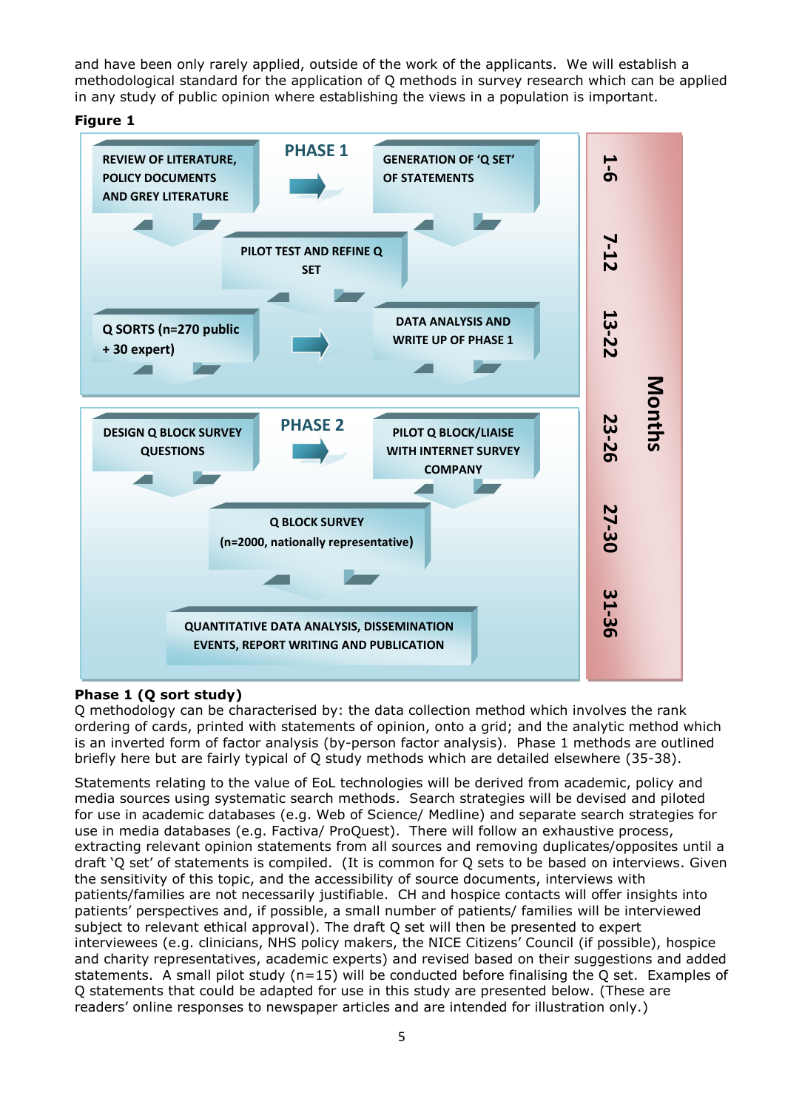and have been only rarely applied, outside of the work of the applicants. We will establish a methodological standard for the application of Q methods in survey research which can be applied in any study of public opinion where establishing the views in a population is important.





# **Phase 1 (Q sort study)**

Q methodology can be characterised by: the data collection method which involves the rank ordering of cards, printed with statements of opinion, onto a grid; and the analytic method which is an inverted form of factor analysis (by-person factor analysis). Phase 1 methods are outlined briefly here but are fairly typical of Q study methods which are detailed elsewhere (35-38).

Statements relating to the value of EoL technologies will be derived from academic, policy and media sources using systematic search methods. Search strategies will be devised and piloted for use in academic databases (e.g. Web of Science/ Medline) and separate search strategies for use in media databases (e.g. Factiva/ ProQuest). There will follow an exhaustive process, extracting relevant opinion statements from all sources and removing duplicates/opposites until a draft "Q set" of statements is compiled. (It is common for Q sets to be based on interviews. Given the sensitivity of this topic, and the accessibility of source documents, interviews with patients/families are not necessarily justifiable. CH and hospice contacts will offer insights into patients" perspectives and, if possible, a small number of patients/ families will be interviewed subject to relevant ethical approval). The draft Q set will then be presented to expert interviewees (e.g. clinicians, NHS policy makers, the NICE Citizens" Council (if possible), hospice and charity representatives, academic experts) and revised based on their suggestions and added statements. A small pilot study ( $n=15$ ) will be conducted before finalising the O set. Examples of Q statements that could be adapted for use in this study are presented below. (These are readers' online responses to newspaper articles and are intended for illustration only.)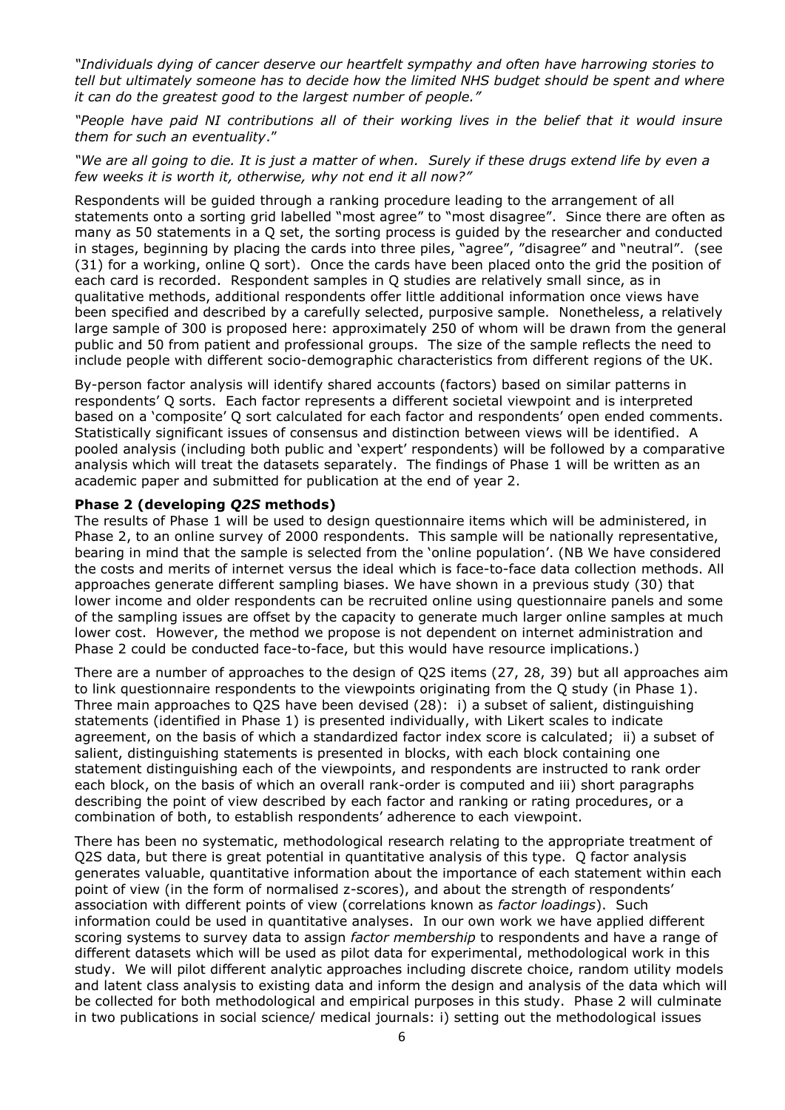*"Individuals dying of cancer deserve our heartfelt sympathy and often have harrowing stories to tell but ultimately someone has to decide how the limited NHS budget should be spent and where it can do the greatest good to the largest number of people."* 

*"People have paid NI contributions all of their working lives in the belief that it would insure them for such an eventuality*."

*"We are all going to die. It is just a matter of when. Surely if these drugs extend life by even a few weeks it is worth it, otherwise, why not end it all now?"* 

Respondents will be guided through a ranking procedure leading to the arrangement of all statements onto a sorting grid labelled "most agree" to "most disagree". Since there are often as many as 50 statements in a Q set, the sorting process is guided by the researcher and conducted in stages, beginning by placing the cards into three piles, "agree", "disagree" and "neutral". (see (31) for a working, online Q sort). Once the cards have been placed onto the grid the position of each card is recorded. Respondent samples in Q studies are relatively small since, as in qualitative methods, additional respondents offer little additional information once views have been specified and described by a carefully selected, purposive sample. Nonetheless, a relatively large sample of 300 is proposed here: approximately 250 of whom will be drawn from the general public and 50 from patient and professional groups. The size of the sample reflects the need to include people with different socio-demographic characteristics from different regions of the UK.

By-person factor analysis will identify shared accounts (factors) based on similar patterns in respondents" Q sorts. Each factor represents a different societal viewpoint and is interpreted based on a 'composite' Q sort calculated for each factor and respondents' open ended comments. Statistically significant issues of consensus and distinction between views will be identified. A pooled analysis (including both public and "expert" respondents) will be followed by a comparative analysis which will treat the datasets separately. The findings of Phase 1 will be written as an academic paper and submitted for publication at the end of year 2.

#### **Phase 2 (developing** *Q2S* **methods)**

The results of Phase 1 will be used to design questionnaire items which will be administered, in Phase 2, to an online survey of 2000 respondents. This sample will be nationally representative, bearing in mind that the sample is selected from the "online population". (NB We have considered the costs and merits of internet versus the ideal which is face-to-face data collection methods. All approaches generate different sampling biases. We have shown in a previous study (30) that lower income and older respondents can be recruited online using questionnaire panels and some of the sampling issues are offset by the capacity to generate much larger online samples at much lower cost. However, the method we propose is not dependent on internet administration and Phase 2 could be conducted face-to-face, but this would have resource implications.)

There are a number of approaches to the design of Q2S items (27, 28, 39) but all approaches aim to link questionnaire respondents to the viewpoints originating from the Q study (in Phase 1). Three main approaches to Q2S have been devised (28): i) a subset of salient, distinguishing statements (identified in Phase 1) is presented individually, with Likert scales to indicate agreement, on the basis of which a standardized factor index score is calculated; ii) a subset of salient, distinguishing statements is presented in blocks, with each block containing one statement distinguishing each of the viewpoints, and respondents are instructed to rank order each block, on the basis of which an overall rank-order is computed and iii) short paragraphs describing the point of view described by each factor and ranking or rating procedures, or a combination of both, to establish respondents" adherence to each viewpoint.

There has been no systematic, methodological research relating to the appropriate treatment of Q2S data, but there is great potential in quantitative analysis of this type. Q factor analysis generates valuable, quantitative information about the importance of each statement within each point of view (in the form of normalised z-scores), and about the strength of respondents" association with different points of view (correlations known as *factor loadings*). Such information could be used in quantitative analyses. In our own work we have applied different scoring systems to survey data to assign *factor membership* to respondents and have a range of different datasets which will be used as pilot data for experimental, methodological work in this study. We will pilot different analytic approaches including discrete choice, random utility models and latent class analysis to existing data and inform the design and analysis of the data which will be collected for both methodological and empirical purposes in this study. Phase 2 will culminate in two publications in social science/ medical journals: i) setting out the methodological issues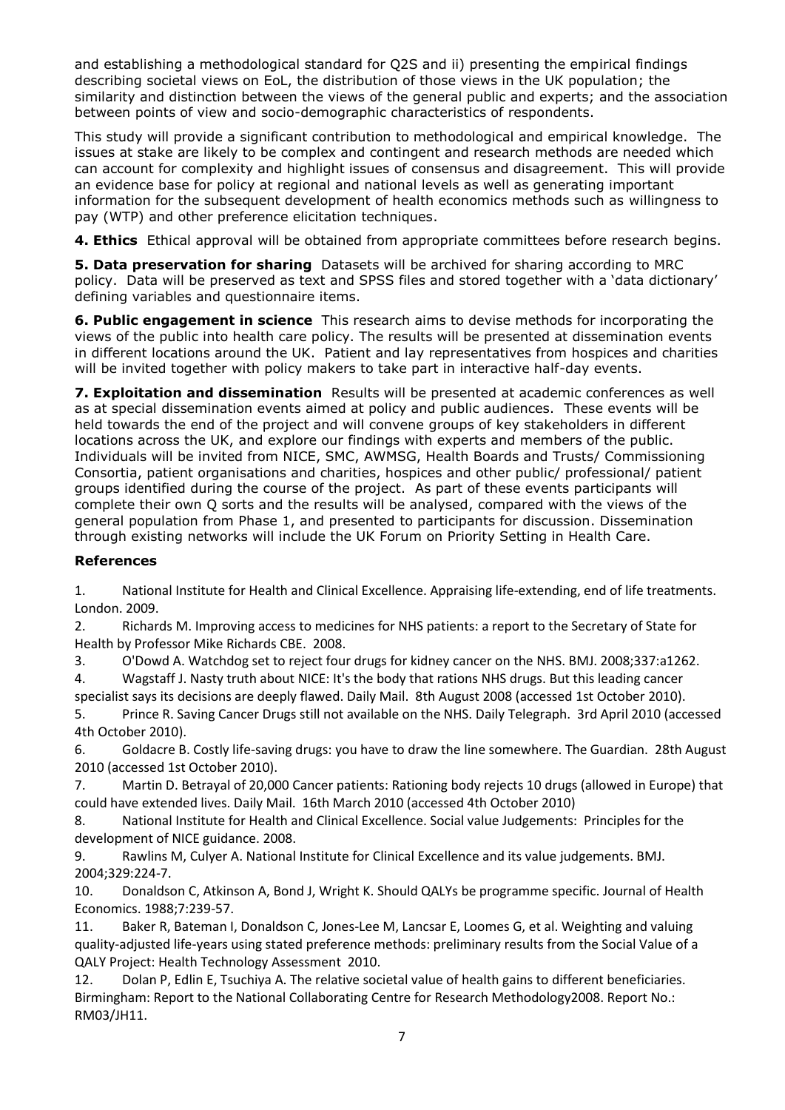and establishing a methodological standard for Q2S and ii) presenting the empirical findings describing societal views on EoL, the distribution of those views in the UK population; the similarity and distinction between the views of the general public and experts; and the association between points of view and socio-demographic characteristics of respondents.

This study will provide a significant contribution to methodological and empirical knowledge. The issues at stake are likely to be complex and contingent and research methods are needed which can account for complexity and highlight issues of consensus and disagreement. This will provide an evidence base for policy at regional and national levels as well as generating important information for the subsequent development of health economics methods such as willingness to pay (WTP) and other preference elicitation techniques.

**4. Ethics** Ethical approval will be obtained from appropriate committees before research begins.

**5. Data preservation for sharing** Datasets will be archived for sharing according to MRC policy. Data will be preserved as text and SPSS files and stored together with a "data dictionary" defining variables and questionnaire items.

**6. Public engagement in science** This research aims to devise methods for incorporating the views of the public into health care policy. The results will be presented at dissemination events in different locations around the UK. Patient and lay representatives from hospices and charities will be invited together with policy makers to take part in interactive half-day events.

**7. Exploitation and dissemination** Results will be presented at academic conferences as well as at special dissemination events aimed at policy and public audiences. These events will be held towards the end of the project and will convene groups of key stakeholders in different locations across the UK, and explore our findings with experts and members of the public. Individuals will be invited from NICE, SMC, AWMSG, Health Boards and Trusts/ Commissioning Consortia, patient organisations and charities, hospices and other public/ professional/ patient groups identified during the course of the project. As part of these events participants will complete their own Q sorts and the results will be analysed, compared with the views of the general population from Phase 1, and presented to participants for discussion. Dissemination through existing networks will include the UK Forum on Priority Setting in Health Care.

## **References**

1. National Institute for Health and Clinical Excellence. Appraising life-extending, end of life treatments. London. 2009.

2. Richards M. Improving access to medicines for NHS patients: a report to the Secretary of State for Health by Professor Mike Richards CBE. 2008.

3. O'Dowd A. Watchdog set to reject four drugs for kidney cancer on the NHS. BMJ. 2008;337:a1262.

4. Wagstaff J. Nasty truth about NICE: It's the body that rations NHS drugs. But this leading cancer specialist says its decisions are deeply flawed. Daily Mail. 8th August 2008 (accessed 1st October 2010).

5. Prince R. Saving Cancer Drugs still not available on the NHS. Daily Telegraph. 3rd April 2010 (accessed 4th October 2010).

6. Goldacre B. Costly life-saving drugs: you have to draw the line somewhere. The Guardian. 28th August 2010 (accessed 1st October 2010).

7. Martin D. Betrayal of 20,000 Cancer patients: Rationing body rejects 10 drugs (allowed in Europe) that could have extended lives. Daily Mail. 16th March 2010 (accessed 4th October 2010)

8. National Institute for Health and Clinical Excellence. Social value Judgements: Principles for the development of NICE guidance. 2008.

9. Rawlins M, Culyer A. National Institute for Clinical Excellence and its value judgements. BMJ. 2004;329:224-7.

10. Donaldson C, Atkinson A, Bond J, Wright K. Should QALYs be programme specific. Journal of Health Economics. 1988;7:239-57.

11. Baker R, Bateman I, Donaldson C, Jones-Lee M, Lancsar E, Loomes G, et al. Weighting and valuing quality-adjusted life-years using stated preference methods: preliminary results from the Social Value of a QALY Project: Health Technology Assessment 2010.

12. Dolan P, Edlin E, Tsuchiya A. The relative societal value of health gains to different beneficiaries. Birmingham: Report to the National Collaborating Centre for Research Methodology2008. Report No.: RM03/JH11.